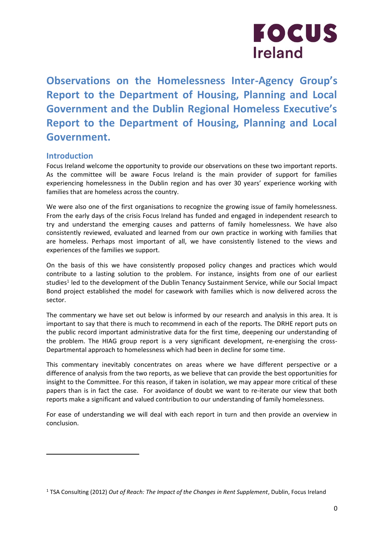

**Observations on the Homelessness Inter-Agency Group's Report to the Department of Housing, Planning and Local Government and the Dublin Regional Homeless Executive's Report to the Department of Housing, Planning and Local Government.** 

# **Introduction**

l

Focus Ireland welcome the opportunity to provide our observations on these two important reports. As the committee will be aware Focus Ireland is the main provider of support for families experiencing homelessness in the Dublin region and has over 30 years' experience working with families that are homeless across the country.

We were also one of the first organisations to recognize the growing issue of family homelessness. From the early days of the crisis Focus Ireland has funded and engaged in independent research to try and understand the emerging causes and patterns of family homelessness. We have also consistently reviewed, evaluated and learned from our own practice in working with families that are homeless. Perhaps most important of all, we have consistently listened to the views and experiences of the families we support.

On the basis of this we have consistently proposed policy changes and practices which would contribute to a lasting solution to the problem. For instance, insights from one of our earliest studies<sup>1</sup> led to the development of the Dublin Tenancy Sustainment Service, while our Social Impact Bond project established the model for casework with families which is now delivered across the sector.

The commentary we have set out below is informed by our research and analysis in this area. It is important to say that there is much to recommend in each of the reports. The DRHE report puts on the public record important administrative data for the first time, deepening our understanding of the problem. The HIAG group report is a very significant development, re-energising the cross-Departmental approach to homelessness which had been in decline for some time.

This commentary inevitably concentrates on areas where we have different perspective or a difference of analysis from the two reports, as we believe that can provide the best opportunities for insight to the Committee. For this reason, if taken in isolation, we may appear more critical of these papers than is in fact the case. For avoidance of doubt we want to re-iterate our view that both reports make a significant and valued contribution to our understanding of family homelessness.

For ease of understanding we will deal with each report in turn and then provide an overview in conclusion.

<sup>1</sup> TSA Consulting (2012) *Out of Reach: The Impact of the Changes in Rent Supplement*, Dublin, Focus Ireland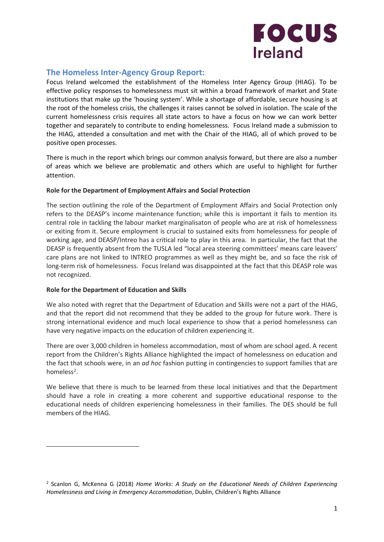

# **The Homeless Inter-Agency Group Report:**

Focus Ireland welcomed the establishment of the Homeless Inter Agency Group (HIAG). To be effective policy responses to homelessness must sit within a broad framework of market and State institutions that make up the 'housing system'. While a shortage of affordable, secure housing is at the root of the homeless crisis, the challenges it raises cannot be solved in isolation. The scale of the current homelessness crisis requires all state actors to have a focus on how we can work better together and separately to contribute to ending homelessness. Focus Ireland made a submission to the HIAG, attended a consultation and met with the Chair of the HIAG, all of which proved to be positive open processes.

There is much in the report which brings our common analysis forward, but there are also a number of areas which we believe are problematic and others which are useful to highlight for further attention.

# **Role for the Department of Employment Affairs and Social Protection**

The section outlining the role of the Department of Employment Affairs and Social Protection only refers to the DEASP's income maintenance function; while this is important it fails to mention its central role in tackling the labour market marginalisaton of people who are at risk of homelessness or exiting from it. Secure employment is crucial to sustained exits from homelessness for people of working age, and DEASP/Intreo has a critical role to play in this area. In particular, the fact that the DEASP is frequently absent from the TUSLA led "local area steering committees' means care leavers' care plans are not linked to INTREO programmes as well as they might be, and so face the risk of long-term risk of homelessness. Focus Ireland was disappointed at the fact that this DEASP role was not recognized.

# **Role for the Department of Education and Skills**

 $\overline{a}$ 

We also noted with regret that the Department of Education and Skills were not a part of the HIAG, and that the report did not recommend that they be added to the group for future work. There is strong international evidence and much local experience to show that a period homelessness can have very negative impacts on the education of children experiencing it.

There are over 3,000 children in homeless accommodation, most of whom are school aged. A recent report from the Children's Rights Alliance highlighted the impact of homelessness on education and the fact that schools were, in an *ad hoc* fashion putting in contingencies to support families that are homeless<sup>2</sup>.

We believe that there is much to be learned from these local initiatives and that the Department should have a role in creating a more coherent and supportive educational response to the educational needs of children experiencing homelessness in their families. The DES should be full members of the HIAG.

<sup>2</sup> Scanlon G, McKenna G (2018) *Home Works: A Study on the Educational Needs of Children Experiencing Homelessness and Living in Emergency Accommodation*, Dublin, Children's Rights Alliance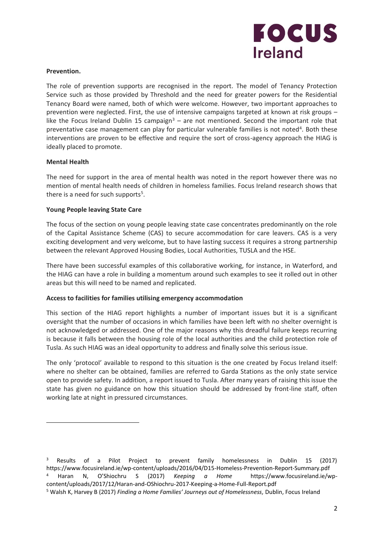

#### **Prevention.**

The role of prevention supports are recognised in the report. The model of Tenancy Protection Service such as those provided by Threshold and the need for greater powers for the Residential Tenancy Board were named, both of which were welcome. However, two important approaches to prevention were neglected. First, the use of intensive campaigns targeted at known at risk groups – like the Focus Ireland Dublin 15 campaign<sup>3</sup> – are not mentioned. Second the important role that preventative case management can play for particular vulnerable families is not noted<sup>4</sup>. Both these interventions are proven to be effective and require the sort of cross-agency approach the HIAG is ideally placed to promote.

#### **Mental Health**

 $\overline{a}$ 

The need for support in the area of mental health was noted in the report however there was no mention of mental health needs of children in homeless families. Focus Ireland research shows that there is a need for such supports<sup>5</sup>.

#### **Young People leaving State Care**

The focus of the section on young people leaving state case concentrates predominantly on the role of the Capital Assistance Scheme (CAS) to secure accommodation for care leavers. CAS is a very exciting development and very welcome, but to have lasting success it requires a strong partnership between the relevant Approved Housing Bodies, Local Authorities, TUSLA and the HSE.

There have been successful examples of this collaborative working, for instance, in Waterford, and the HIAG can have a role in building a momentum around such examples to see it rolled out in other areas but this will need to be named and replicated.

# **Access to facilities for families utilising emergency accommodation**

This section of the HIAG report highlights a number of important issues but it is a significant oversight that the number of occasions in which families have been left with no shelter overnight is not acknowledged or addressed. One of the major reasons why this dreadful failure keeps recurring is because it falls between the housing role of the local authorities and the child protection role of Tusla. As such HIAG was an ideal opportunity to address and finally solve this serious issue.

The only 'protocol' available to respond to this situation is the one created by Focus Ireland itself: where no shelter can be obtained, families are referred to Garda Stations as the only state service open to provide safety. In addition, a report issued to Tusla. After many years of raising this issue the state has given no guidance on how this situation should be addressed by front-line staff, often working late at night in pressured circumstances.

<sup>3</sup> Results of a Pilot Project to prevent family homelessness in Dublin 15 (2017) https://www.focusireland.ie/wp-content/uploads/2016/04/D15-Homeless-Prevention-Report-Summary.pdf <sup>4</sup> Haran N, O'Shiochru S (2017) *Keeping a Home* https://www.focusireland.ie/wpcontent/uploads/2017/12/Haran-and-OShiochru-2017-Keeping-a-Home-Full-Report.pdf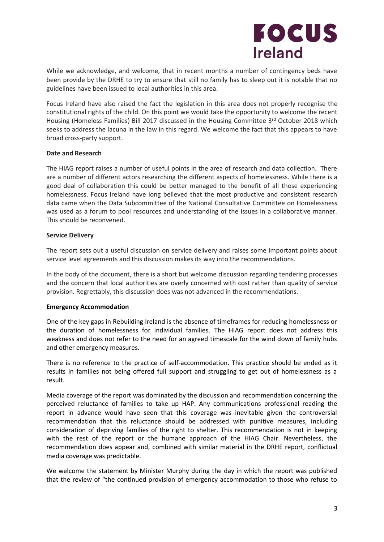

While we acknowledge, and welcome, that in recent months a number of contingency beds have been provide by the DRHE to try to ensure that still no family has to sleep out it is notable that no guidelines have been issued to local authorities in this area.

Focus Ireland have also raised the fact the legislation in this area does not properly recognise the constitutional rights of the child. On this point we would take the opportunity to welcome the recent Housing (Homeless Families) Bill 2017 discussed in the Housing Committee 3rd October 2018 which seeks to address the lacuna in the law in this regard. We welcome the fact that this appears to have broad cross-party support.

# **Date and Research**

The HIAG report raises a number of useful points in the area of research and data collection. There are a number of different actors researching the different aspects of homelessness. While there is a good deal of collaboration this could be better managed to the benefit of all those experiencing homelessness. Focus Ireland have long believed that the most productive and consistent research data came when the Data Subcommittee of the National Consultative Committee on Homelessness was used as a forum to pool resources and understanding of the issues in a collaborative manner. This should be reconvened.

# **Service Delivery**

The report sets out a useful discussion on service delivery and raises some important points about service level agreements and this discussion makes its way into the recommendations.

In the body of the document, there is a short but welcome discussion regarding tendering processes and the concern that local authorities are overly concerned with cost rather than quality of service provision. Regrettably, this discussion does was not advanced in the recommendations.

# **Emergency Accommodation**

One of the key gaps in Rebuilding Ireland is the absence of timeframes for reducing homelessness or the duration of homelessness for individual families. The HIAG report does not address this weakness and does not refer to the need for an agreed timescale for the wind down of family hubs and other emergency measures.

There is no reference to the practice of self-accommodation. This practice should be ended as it results in families not being offered full support and struggling to get out of homelessness as a result.

Media coverage of the report was dominated by the discussion and recommendation concerning the perceived reluctance of families to take up HAP. Any communications professional reading the report in advance would have seen that this coverage was inevitable given the controversial recommendation that this reluctance should be addressed with punitive measures, including consideration of depriving families of the right to shelter. This recommendation is not in keeping with the rest of the report or the humane approach of the HIAG Chair. Nevertheless, the recommendation does appear and, combined with similar material in the DRHE report, conflictual media coverage was predictable.

We welcome the statement by Minister Murphy during the day in which the report was published that the review of "the continued provision of emergency accommodation to those who refuse to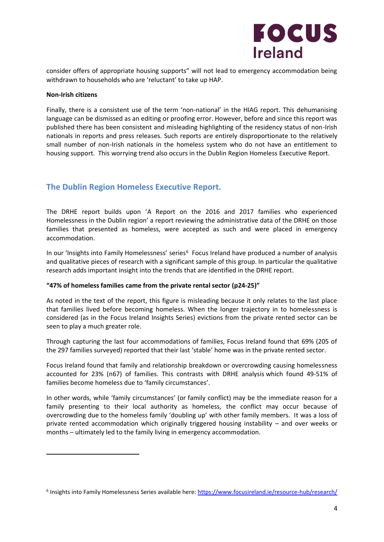

consider offers of appropriate housing supports" will not lead to emergency accommodation being withdrawn to households who are 'reluctant' to take up HAP.

#### **Non-Irish citizens**

l

Finally, there is a consistent use of the term 'non-national' in the HIAG report. This dehumanising language can be dismissed as an editing or proofing error. However, before and since this report was published there has been consistent and misleading highlighting of the residency status of non-Irish nationals in reports and press releases. Such reports are entirely disproportionate to the relatively small number of non-Irish nationals in the homeless system who do not have an entitlement to housing support. This worrying trend also occurs in the Dublin Region Homeless Executive Report.

# **The Dublin Region Homeless Executive Report.**

The DRHE report builds upon 'A Report on the 2016 and 2017 families who experienced Homelessness in the Dublin region' a report reviewing the administrative data of the DRHE on those families that presented as homeless, were accepted as such and were placed in emergency accommodation.

In our 'Insights into Family Homelessness' series<sup>6</sup> Focus Ireland have produced a number of analysis and qualitative pieces of research with a significant sample of this group. In particular the qualitative research adds important insight into the trends that are identified in the DRHE report.

# **"47% of homeless families came from the private rental sector (p24-25)"**

As noted in the text of the report, this figure is misleading because it only relates to the last place that families lived before becoming homeless. When the longer trajectory in to homelessness is considered (as in the Focus Ireland Insights Series) evictions from the private rented sector can be seen to play a much greater role.

Through capturing the last four accommodations of families, Focus Ireland found that 69% (205 of the 297 families surveyed) reported that their last 'stable' home was in the private rented sector.

Focus Ireland found that family and relationship breakdown or overcrowding causing homelessness accounted for 23% (n67) of families. This contrasts with DRHE analysis which found 49-51% of families become homeless due to 'family circumstances'.

In other words, while 'family circumstances' (or family conflict) may be the immediate reason for a family presenting to their local authority as homeless, the conflict may occur because of overcrowding due to the homeless family 'doubling up' with other family members. It was a loss of private rented accommodation which originally triggered housing instability – and over weeks or months – ultimately led to the family living in emergency accommodation.

<sup>&</sup>lt;sup>6</sup> Insights into Family Homelessness Series available here[: https://www.focusireland.ie/resource-hub/research/](https://www.focusireland.ie/resource-hub/research/)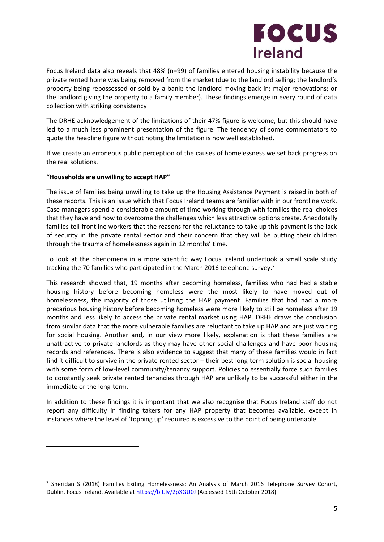

Focus Ireland data also reveals that 48% (n=99) of families entered housing instability because the private rented home was being removed from the market (due to the landlord selling; the landlord's property being repossessed or sold by a bank; the landlord moving back in; major renovations; or the landlord giving the property to a family member). These findings emerge in every round of data collection with striking consistency

The DRHE acknowledgement of the limitations of their 47% figure is welcome, but this should have led to a much less prominent presentation of the figure. The tendency of some commentators to quote the headline figure without noting the limitation is now well established.

If we create an erroneous public perception of the causes of homelessness we set back progress on the real solutions.

# **"Households are unwilling to accept HAP"**

 $\overline{a}$ 

The issue of families being unwilling to take up the Housing Assistance Payment is raised in both of these reports. This is an issue which that Focus Ireland teams are familiar with in our frontline work. Case managers spend a considerable amount of time working through with families the real choices that they have and how to overcome the challenges which less attractive options create. Anecdotally families tell frontline workers that the reasons for the reluctance to take up this payment is the lack of security in the private rental sector and their concern that they will be putting their children through the trauma of homelessness again in 12 months' time.

To look at the phenomena in a more scientific way Focus Ireland undertook a small scale study tracking the 70 families who participated in the March 2016 telephone survey.<sup>7</sup>

This research showed that, 19 months after becoming homeless, families who had had a stable housing history before becoming homeless were the most likely to have moved out of homelessness, the majority of those utilizing the HAP payment. Families that had had a more precarious housing history before becoming homeless were more likely to still be homeless after 19 months and less likely to access the private rental market using HAP. DRHE draws the conclusion from similar data that the more vulnerable families are reluctant to take up HAP and are just waiting for social housing. Another and, in our view more likely, explanation is that these families are unattractive to private landlords as they may have other social challenges and have poor housing records and references. There is also evidence to suggest that many of these families would in fact find it difficult to survive in the private rented sector – their best long-term solution is social housing with some form of low-level community/tenancy support. Policies to essentially force such families to constantly seek private rented tenancies through HAP are unlikely to be successful either in the immediate or the long-term.

In addition to these findings it is important that we also recognise that Focus Ireland staff do not report any difficulty in finding takers for any HAP property that becomes available, except in instances where the level of 'topping up' required is excessive to the point of being untenable.

<sup>7</sup> Sheridan S (2018) Families Exiting Homelessness: An Analysis of March 2016 Telephone Survey Cohort, Dublin, Focus Ireland. Available at<https://bit.ly/2pXGU0J> (Accessed 15th October 2018)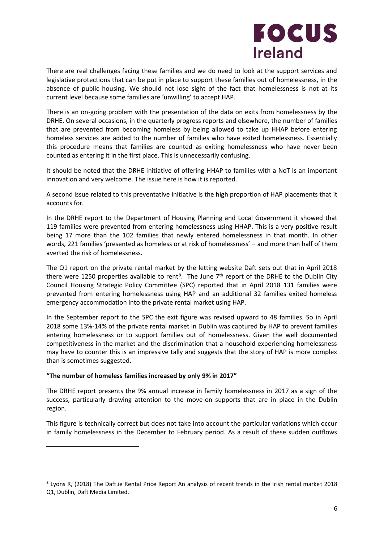

There are real challenges facing these families and we do need to look at the support services and legislative protections that can be put in place to support these families out of homelessness, in the absence of public housing. We should not lose sight of the fact that homelessness is not at its current level because some families are 'unwilling' to accept HAP.

There is an on-going problem with the presentation of the data on exits from homelessness by the DRHE. On several occasions, in the quarterly progress reports and elsewhere, the number of families that are prevented from becoming homeless by being allowed to take up HHAP before entering homeless services are added to the number of families who have exited homelessness. Essentially this procedure means that families are counted as exiting homelessness who have never been counted as entering it in the first place. This is unnecessarily confusing.

It should be noted that the DRHE initiative of offering HHAP to families with a NoT is an important innovation and very welcome. The issue here is how it is reported.

A second issue related to this preventative initiative is the high proportion of HAP placements that it accounts for.

In the DRHE report to the Department of Housing Planning and Local Government it showed that 119 families were prevented from entering homelessness using HHAP. This is a very positive result being 17 more than the 102 families that newly entered homelessness in that month. In other words, 221 families 'presented as homeless or at risk of homelessness' – and more than half of them averted the risk of homelessness.

The Q1 report on the private rental market by the letting website Daft sets out that in April 2018 there were 1250 properties available to rent<sup>8</sup>. The June  $7<sup>th</sup>$  report of the DRHE to the Dublin City Council Housing Strategic Policy Committee (SPC) reported that in April 2018 131 families were prevented from entering homelessness using HAP and an additional 32 families exited homeless emergency accommodation into the private rental market using HAP.

In the September report to the SPC the exit figure was revised upward to 48 families. So in April 2018 some 13%-14% of the private rental market in Dublin was captured by HAP to prevent families entering homelessness or to support families out of homelessness. Given the well documented competitiveness in the market and the discrimination that a household experiencing homelessness may have to counter this is an impressive tally and suggests that the story of HAP is more complex than is sometimes suggested.

# **"The number of homeless families increased by only 9% in 2017"**

 $\overline{a}$ 

The DRHE report presents the 9% annual increase in family homelessness in 2017 as a sign of the success, particularly drawing attention to the move-on supports that are in place in the Dublin region.

This figure is technically correct but does not take into account the particular variations which occur in family homelessness in the December to February period. As a result of these sudden outflows

<sup>8</sup> Lyons R, (2018) The Daft.ie Rental Price Report An analysis of recent trends in the Irish rental market 2018 Q1, Dublin, Daft Media Limited.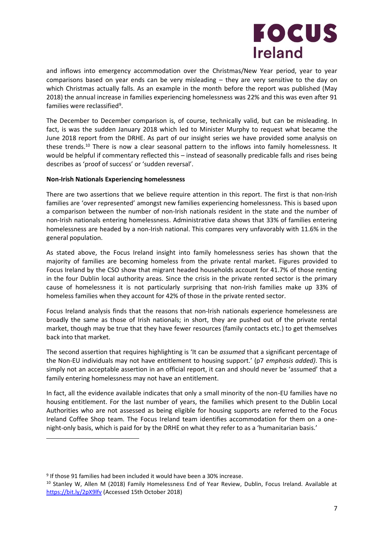

and inflows into emergency accommodation over the Christmas/New Year period, year to year comparisons based on year ends can be very misleading – they are very sensitive to the day on which Christmas actually falls. As an example in the month before the report was published (May 2018) the annual increase in families experiencing homelessness was 22% and this was even after 91 families were reclassified<sup>9</sup>.

The December to December comparison is, of course, technically valid, but can be misleading. In fact, is was the sudden January 2018 which led to Minister Murphy to request what became the June 2018 report from the DRHE. As part of our insight series we have provided some analysis on these trends.<sup>10</sup> There is now a clear seasonal pattern to the inflows into family homelessness. It would be helpful if commentary reflected this – instead of seasonally predicable falls and rises being describes as 'proof of success' or 'sudden reversal'.

# **Non-Irish Nationals Experiencing homelessness**

There are two assertions that we believe require attention in this report. The first is that non-Irish families are 'over represented' amongst new families experiencing homelessness. This is based upon a comparison between the number of non-Irish nationals resident in the state and the number of non-Irish nationals entering homelessness. Administrative data shows that 33% of families entering homelessness are headed by a non-Irish national. This compares very unfavorably with 11.6% in the general population.

As stated above, the Focus Ireland insight into family homelessness series has shown that the majority of families are becoming homeless from the private rental market. Figures provided to Focus Ireland by the CSO show that migrant headed households account for 41.7% of those renting in the four Dublin local authority areas. Since the crisis in the private rented sector is the primary cause of homelessness it is not particularly surprising that non-Irish families make up 33% of homeless families when they account for 42% of those in the private rented sector.

Focus Ireland analysis finds that the reasons that non-Irish nationals experience homelessness are broadly the same as those of Irish nationals; in short, they are pushed out of the private rental market, though may be true that they have fewer resources (family contacts etc.) to get themselves back into that market.

The second assertion that requires highlighting is 'It can be *assumed* that a significant percentage of the Non-EU individuals may not have entitlement to housing support.' (p7 *emphasis added)*. This is simply not an acceptable assertion in an official report, it can and should never be 'assumed' that a family entering homelessness may not have an entitlement.

In fact, all the evidence available indicates that only a small minority of the non-EU families have no housing entitlement. For the last number of years, the families which present to the Dublin Local Authorities who are not assessed as being eligible for housing supports are referred to the Focus Ireland Coffee Shop team. The Focus Ireland team identifies accommodation for them on a onenight-only basis, which is paid for by the DRHE on what they refer to as a 'humanitarian basis.'

 $\overline{a}$ 

<sup>&</sup>lt;sup>9</sup> If those 91 families had been included it would have been a 30% increase.

<sup>&</sup>lt;sup>10</sup> Stanley W, Allen M (2018) Family Homelessness End of Year Review, Dublin, Focus Ireland. Available at <https://bit.ly/2pX9lfv> (Accessed 15th October 2018)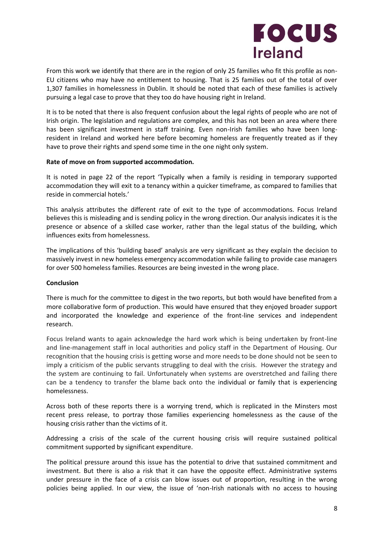

From this work we identify that there are in the region of only 25 families who fit this profile as non-EU citizens who may have no entitlement to housing. That is 25 families out of the total of over 1,307 families in homelessness in Dublin. It should be noted that each of these families is actively pursuing a legal case to prove that they too do have housing right in Ireland.

It is to be noted that there is also frequent confusion about the legal rights of people who are not of Irish origin. The legislation and regulations are complex, and this has not been an area where there has been significant investment in staff training. Even non-Irish families who have been longresident in Ireland and worked here before becoming homeless are frequently treated as if they have to prove their rights and spend some time in the one night only system.

#### **Rate of move on from supported accommodation.**

It is noted in page 22 of the report 'Typically when a family is residing in temporary supported accommodation they will exit to a tenancy within a quicker timeframe, as compared to families that reside in commercial hotels.'

This analysis attributes the different rate of exit to the type of accommodations. Focus Ireland believes this is misleading and is sending policy in the wrong direction. Our analysis indicates it is the presence or absence of a skilled case worker, rather than the legal status of the building, which influences exits from homelessness.

The implications of this 'building based' analysis are very significant as they explain the decision to massively invest in new homeless emergency accommodation while failing to provide case managers for over 500 homeless families. Resources are being invested in the wrong place.

#### **Conclusion**

There is much for the committee to digest in the two reports, but both would have benefited from a more collaborative form of production. This would have ensured that they enjoyed broader support and incorporated the knowledge and experience of the front-line services and independent research.

Focus Ireland wants to again acknowledge the hard work which is being undertaken by front-line and line-management staff in local authorities and policy staff in the Department of Housing. Our recognition that the housing crisis is getting worse and more needs to be done should not be seen to imply a criticism of the public servants struggling to deal with the crisis. However the strategy and the system are continuing to fail. Unfortunately when systems are overstretched and failing there can be a tendency to transfer the blame back onto the individual or family that is experiencing homelessness.

Across both of these reports there is a worrying trend, which is replicated in the Minsters most recent press release, to portray those families experiencing homelessness as the cause of the housing crisis rather than the victims of it.

Addressing a crisis of the scale of the current housing crisis will require sustained political commitment supported by significant expenditure.

The political pressure around this issue has the potential to drive that sustained commitment and investment. But there is also a risk that it can have the opposite effect. Administrative systems under pressure in the face of a crisis can blow issues out of proportion, resulting in the wrong policies being applied. In our view, the issue of 'non-Irish nationals with no access to housing